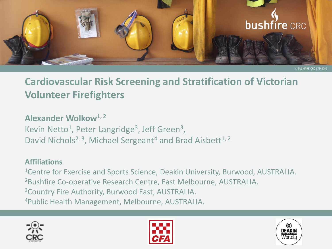

### **Cardiovascular Risk Screening and Stratification of Victorian Volunteer Firefighters**

**Alexander Wolkow1, 2**  Kevin Netto<sup>1</sup>, Peter Langridge<sup>3</sup>, Jeff Green<sup>3</sup>, David Nichols<sup>2, 3</sup>, Michael Sergeant<sup>4</sup> and Brad Aisbett<sup>1, 2</sup>

#### **Affiliations**

<sup>1</sup>Centre for Exercise and Sports Science, Deakin University, Burwood, AUSTRALIA. <sup>2</sup>Bushfire Co-operative Research Centre, East Melbourne, AUSTRALIA. <sup>3</sup>Country Fire Authority, Burwood East, AUSTRALIA. 4Public Health Management, Melbourne, AUSTRALIA.





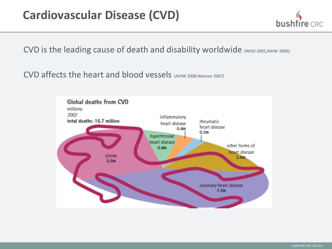## **Cardiovascular Disease (CVD)**

bush

CVD is the leading cause of death and disability worldwide (WHO 2005;AIHW 2006)

CVD affects the heart and blood vessels (AIHW 2008;Nieman 2007)

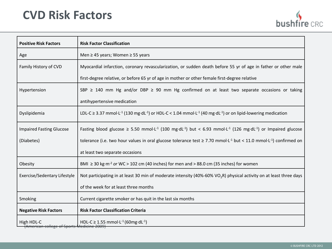## **CVD Risk Factors**

| bushfire CRC |  |
|--------------|--|

| <b>Positive Risk Factors</b>    | <b>Risk Factor Classification</b>                                                                                                                                        |  |
|---------------------------------|--------------------------------------------------------------------------------------------------------------------------------------------------------------------------|--|
| Age                             | Men ≥ 45 years; Women ≥ 55 years                                                                                                                                         |  |
| Family History of CVD           | Myocardial infarction, coronary revascularization, or sudden death before 55 yr of age in father or other male                                                           |  |
|                                 | first-degree relative, or before 65 yr of age in mother or other female first-degree relative                                                                            |  |
| Hypertension                    | SBP $\ge$ 140 mm Hg and/or DBP $\ge$ 90 mm Hg confirmed on at least two separate occasions or taking                                                                     |  |
|                                 | antihypertensive medication                                                                                                                                              |  |
| Dyslipidemia                    | LDL-C $\geq$ 3.37 mmol·L <sup>-1</sup> (130 mg·dL <sup>-1</sup> ) or HDL-C < 1.04 mmol·L <sup>-1</sup> (40 mg·dL <sup>-1</sup> ) or on lipid-lowering medication         |  |
| <b>Impaired Fasting Glucose</b> | Fasting blood glucose $\geq$ 5.50 mmol $\cdot$ L <sup>-1</sup> (100 mg·dL <sup>-1</sup> ) but < 6.93 mmol·L <sup>-1</sup> (126 mg·dL <sup>-1</sup> ) or Impaired glucose |  |
| (Diabetes)                      | tolerance (i.e. two hour values in oral glucose tolerance test $\geq$ 7.70 mmol·L <sup>-1</sup> but < 11.0 mmol·L <sup>-1</sup> ) confirmed on                           |  |
|                                 | at least two separate occasions                                                                                                                                          |  |
| Obesity                         | BMI $\geq$ 30 kg·m <sup>-2</sup> or WC > 102 cm (40 inches) for men and > 88.0 cm (35 inches) for women                                                                  |  |
| Exercise/Sedentary Lifestyle    | Not participating in at least 30 min of moderate intensity (40%-60% VO <sub>2</sub> R) physical activity on at least three days                                          |  |
|                                 | of the week for at least three months                                                                                                                                    |  |
| Smoking                         | Current cigarette smoker or has quit in the last six months                                                                                                              |  |
| <b>Negative Risk Factors</b>    | <b>Risk Factor Classification Criteria</b>                                                                                                                               |  |
| High HDL-C                      | HDL-C $\geq$ 1.55 mmol $\cdot$ L <sup>-1</sup> (60mg $\cdot$ dL <sup>-1</sup> )                                                                                          |  |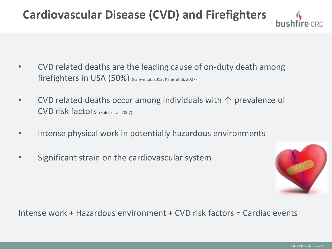# **Cardiovascular Disease (CVD) and Firefighters**

- CVD related deaths are the leading cause of on-duty death among firefighters in USA (50%) (Fahy et al. 2012; Kales et al. 2007)
- CVD related deaths occur among individuals with  $\uparrow$  prevalence of CVD risk factors (Kales et al. 2007)
- Intense physical work in potentially hazardous environments
- Significant strain on the cardiovascular system



Intense work + Hazardous environment + CVD risk factors = Cardiac events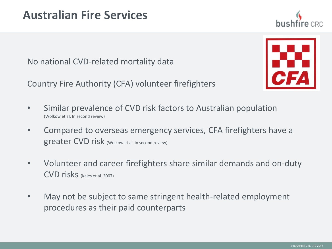No national CVD-related mortality data

Country Fire Authority (CFA) volunteer firefighters

- Similar prevalence of CVD risk factors to Australian population (Wolkow et al. In second review)
- Compared to overseas emergency services, CFA firefighters have a greater CVD risk (Wolkow et al. in second review)
- Volunteer and career firefighters share similar demands and on-duty CVD risks (Kales et al. 2007)
- May not be subject to same stringent health-related employment procedures as their paid counterparts



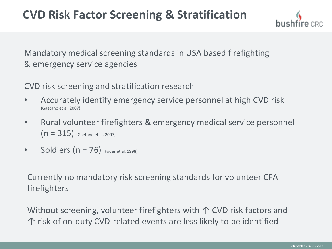Mandatory medical screening standards in USA based firefighting & emergency service agencies

CVD risk screening and stratification research

- Accurately identify emergency service personnel at high CVD risk (Gaetano et al. 2007)
- Rural volunteer firefighters & emergency medical service personnel  $(n = 315)$  (Gaetano et al. 2007)
- Soldiers  $(n = 76)$  (Foder et al. 1998)

Currently no mandatory risk screening standards for volunteer CFA firefighters

Without screening, volunteer firefighters with  $\uparrow$  CVD risk factors and ↑ risk of on-duty CVD-related events are less likely to be identified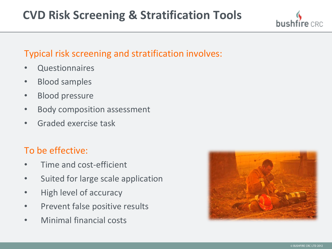## **CVD Risk Screening & Stratification Tools**

### Typical risk screening and stratification involves:

- **Questionnaires**
- Blood samples
- Blood pressure
- Body composition assessment
- Graded exercise task

### To be effective:

- Time and cost-efficient
- Suited for large scale application
- High level of accuracy
- Prevent false positive results
- Minimal financial costs

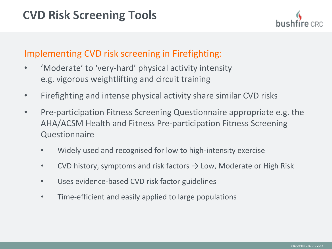### Implementing CVD risk screening in Firefighting:

- 'Moderate' to 'very-hard' physical activity intensity e.g. vigorous weightlifting and circuit training
- Firefighting and intense physical activity share similar CVD risks
- Pre-participation Fitness Screening Questionnaire appropriate e.g. the AHA/ACSM Health and Fitness Pre-participation Fitness Screening Questionnaire
	- Widely used and recognised for low to high-intensity exercise
	- CVD history, symptoms and risk factors  $\rightarrow$  Low, Moderate or High Risk
	- Uses evidence-based CVD risk factor guidelines
	- Time-efficient and easily applied to large populations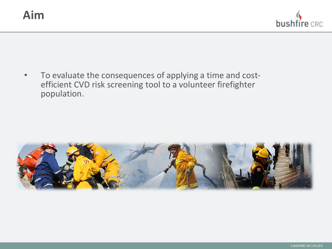

• To evaluate the consequences of applying a time and costefficient CVD risk screening tool to a volunteer firefighter population.

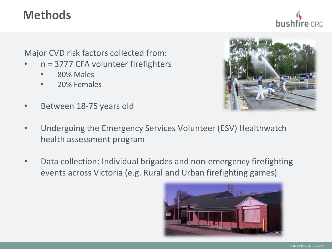## **Methods**

hushfíre

Major CVD risk factors collected from:

- n = 3777 CFA volunteer firefighters
	- 80% Males
	- 20% Females
- Between 18-75 years old
- Undergoing the Emergency Services Volunteer (ESV) Healthwatch health assessment program
- Data collection: Individual brigades and non-emergency firefighting events across Victoria (e.g. Rural and Urban firefighting games)





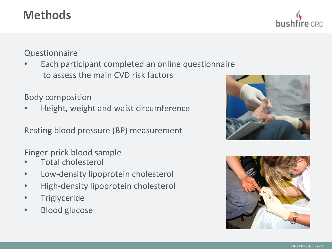## **Methods**

#### **Questionnaire**

Each participant completed an online questionnaire to assess the main CVD risk factors

#### Body composition

• Height, weight and waist circumference

Resting blood pressure (BP) measurement

Finger-prick blood sample

- Total cholesterol
- Low-density lipoprotein cholesterol
- High-density lipoprotein cholesterol
- **Triglyceride**
- Blood glucose



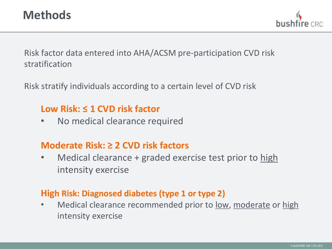

Risk factor data entered into AHA/ACSM pre-participation CVD risk stratification

Risk stratify individuals according to a certain level of CVD risk

### **Low Risk: ≤ 1 CVD risk factor**

• No medical clearance required

### **Moderate Risk: ≥ 2 CVD risk factors**

• Medical clearance + graded exercise test prior to high intensity exercise

### **High Risk: Diagnosed diabetes (type 1 or type 2)**

• Medical clearance recommended prior to low, moderate or high intensity exercise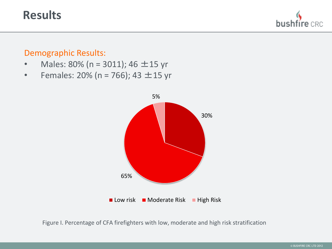### **Results**

bus

#### Demographic Results:

- Males:  $80\%$  (n = 3011); 46  $\pm$  15 yr
- Females: 20% (n = 766); 43  $\pm$  15 yr



Figure I. Percentage of CFA firefighters with low, moderate and high risk stratification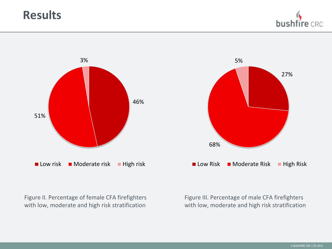## **Results**

busl





with low, moderate and high risk stratification with low, moderate and high risk stratification

Figure II. Percentage of female CFA firefighters Figure III. Percentage of male CFA firefighters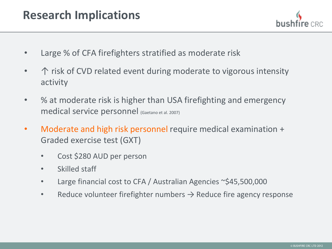- Large % of CFA firefighters stratified as moderate risk
- $\rightarrow$   $\uparrow$  risk of CVD related event during moderate to vigorous intensity activity
- % at moderate risk is higher than USA firefighting and emergency medical service personnel (Gaetano et al. 2007)
- Moderate and high risk personnel require medical examination + Graded exercise test (GXT)
	- Cost \$280 AUD per person
	- Skilled staff
	- Large financial cost to CFA / Australian Agencies ~\$45,500,000
	- Reduce volunteer firefighter numbers  $\rightarrow$  Reduce fire agency response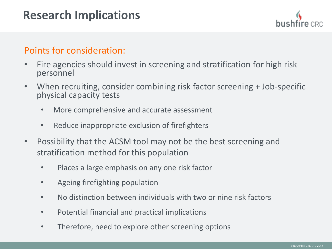### Points for consideration:

- Fire agencies should invest in screening and stratification for high risk personnel
- When recruiting, consider combining risk factor screening + Job-specific physical capacity tests
	- More comprehensive and accurate assessment
	- Reduce inappropriate exclusion of firefighters
- Possibility that the ACSM tool may not be the best screening and stratification method for this population
	- Places a large emphasis on any one risk factor
	- Ageing firefighting population
	- No distinction between individuals with two or nine risk factors
	- Potential financial and practical implications
	- Therefore, need to explore other screening options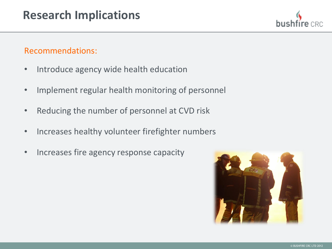#### Recommendations:

- Introduce agency wide health education
- Implement regular health monitoring of personnel
- Reducing the number of personnel at CVD risk
- Increases healthy volunteer firefighter numbers
- Increases fire agency response capacity